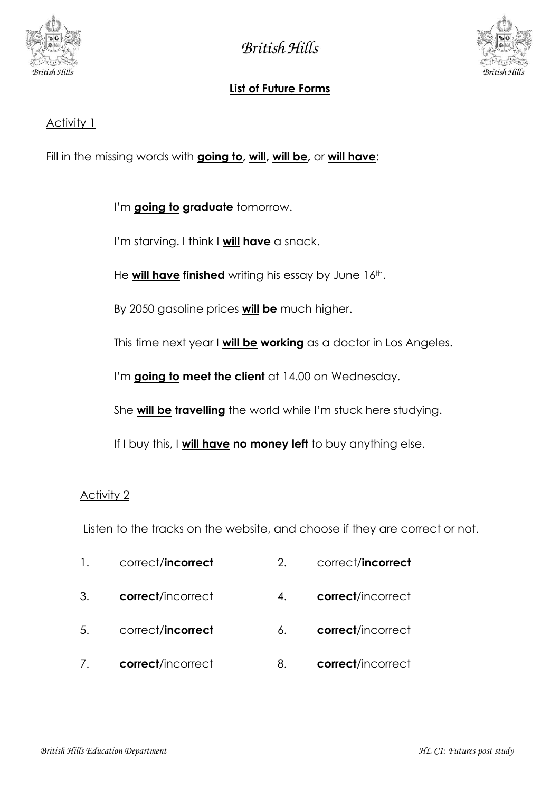

**British Hills** 



## **List of Future Forms**

#### Activity 1

Fill in the missing words with **going to, will, will be,** or **will have**:

### I'm **going to graduate** tomorrow.

I'm starving. I think I **will have** a snack.

He **will have finished** writing his essay by June 16<sup>th</sup>.

By 2050 gasoline prices **will be** much higher.

This time next year I **will be working** as a doctor in Los Angeles.

I'm **going to meet the client** at 14.00 on Wednesday.

She **will be travelling** the world while I'm stuck here studying.

If I buy this, I **will have no money left** to buy anything else.

#### Activity 2

Listen to the tracks on the website, and choose if they are correct or not.

- 1. correct/**incorrect** 2. correct/**incorrect**
- 3. **correct**/incorrect 4. **correct**/incorrect
- 5. correct/**incorrect** 6. **correct**/incorrect
- 7. **correct**/incorrect 8. **correct**/incorrect